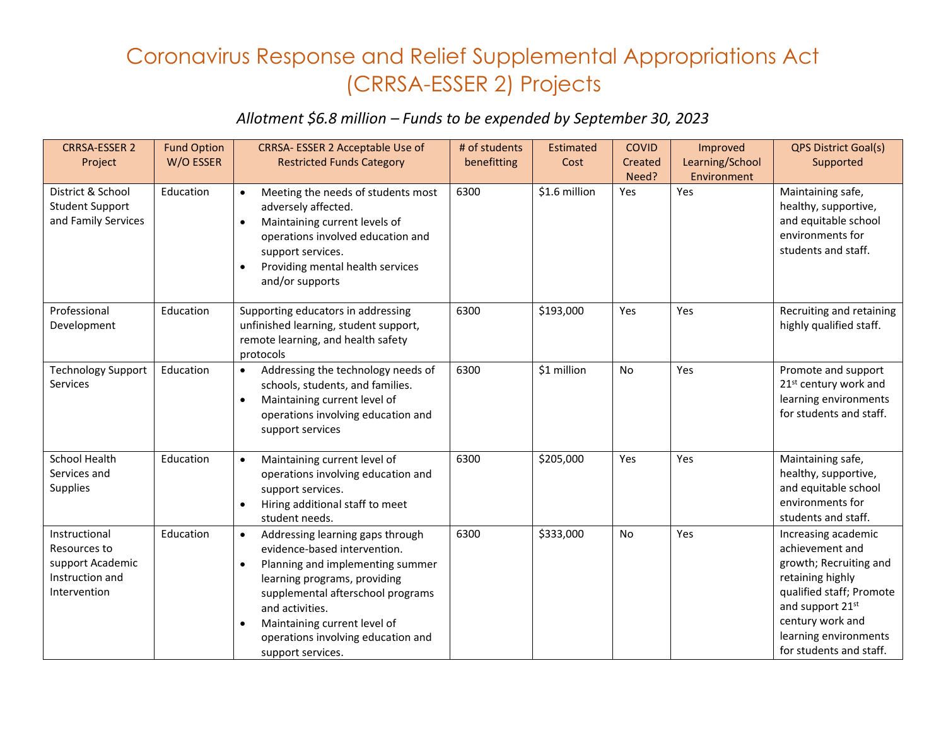## Coronavirus Response and Relief Supplemental Appropriations Act (CRRSA-ESSER 2) Projects

## *Allotment \$6.8 million – Funds to be expended by September 30, 2023*

| <b>CRRSA-ESSER 2</b>            | <b>Fund Option</b> | CRRSA- ESSER 2 Acceptable Use of                     | # of students | Estimated     | <b>COVID</b> | Improved        | <b>QPS District Goal(s)</b>                      |
|---------------------------------|--------------------|------------------------------------------------------|---------------|---------------|--------------|-----------------|--------------------------------------------------|
| Project                         | W/O ESSER          | <b>Restricted Funds Category</b>                     | benefitting   | Cost          | Created      | Learning/School | Supported                                        |
|                                 |                    |                                                      |               |               | Need?        | Environment     |                                                  |
| District & School               | Education          | Meeting the needs of students most                   | 6300          | \$1.6 million | Yes          | Yes             | Maintaining safe,                                |
| <b>Student Support</b>          |                    | adversely affected.                                  |               |               |              |                 | healthy, supportive,                             |
| and Family Services             |                    | Maintaining current levels of                        |               |               |              |                 | and equitable school                             |
|                                 |                    | operations involved education and                    |               |               |              |                 | environments for                                 |
|                                 |                    | support services.                                    |               |               |              |                 | students and staff.                              |
|                                 |                    | Providing mental health services<br>$\bullet$        |               |               |              |                 |                                                  |
|                                 |                    | and/or supports                                      |               |               |              |                 |                                                  |
| Professional                    | Education          | Supporting educators in addressing                   | 6300          | \$193,000     | Yes          | Yes             | Recruiting and retaining                         |
| Development                     |                    | unfinished learning, student support,                |               |               |              |                 | highly qualified staff.                          |
|                                 |                    | remote learning, and health safety                   |               |               |              |                 |                                                  |
|                                 |                    | protocols                                            |               |               |              |                 |                                                  |
| <b>Technology Support</b>       | Education          | Addressing the technology needs of<br>$\bullet$      | 6300          | \$1 million   | No           | Yes             | Promote and support                              |
| Services                        |                    | schools, students, and families.                     |               |               |              |                 | 21 <sup>st</sup> century work and                |
|                                 |                    | Maintaining current level of<br>$\bullet$            |               |               |              |                 | learning environments<br>for students and staff. |
|                                 |                    | operations involving education and                   |               |               |              |                 |                                                  |
|                                 |                    | support services                                     |               |               |              |                 |                                                  |
| <b>School Health</b>            | Education          | Maintaining current level of<br>$\bullet$            | 6300          | \$205,000     | Yes          | Yes             | Maintaining safe,                                |
| Services and                    |                    | operations involving education and                   |               |               |              |                 | healthy, supportive,                             |
| Supplies                        |                    | support services.                                    |               |               |              |                 | and equitable school                             |
|                                 |                    | Hiring additional staff to meet                      |               |               |              |                 | environments for                                 |
|                                 |                    | student needs.                                       |               |               |              |                 | students and staff.                              |
| Instructional                   | Education          | Addressing learning gaps through<br>$\bullet$        | 6300          | \$333,000     | No           | Yes             | Increasing academic                              |
| Resources to                    |                    | evidence-based intervention.                         |               |               |              |                 | achievement and                                  |
| support Academic                |                    | Planning and implementing summer                     |               |               |              |                 | growth; Recruiting and                           |
| Instruction and<br>Intervention |                    | learning programs, providing                         |               |               |              |                 | retaining highly<br>qualified staff; Promote     |
|                                 |                    | supplemental afterschool programs<br>and activities. |               |               |              |                 | and support 21st                                 |
|                                 |                    | Maintaining current level of<br>$\bullet$            |               |               |              |                 | century work and                                 |
|                                 |                    | operations involving education and                   |               |               |              |                 | learning environments                            |
|                                 |                    | support services.                                    |               |               |              |                 | for students and staff.                          |